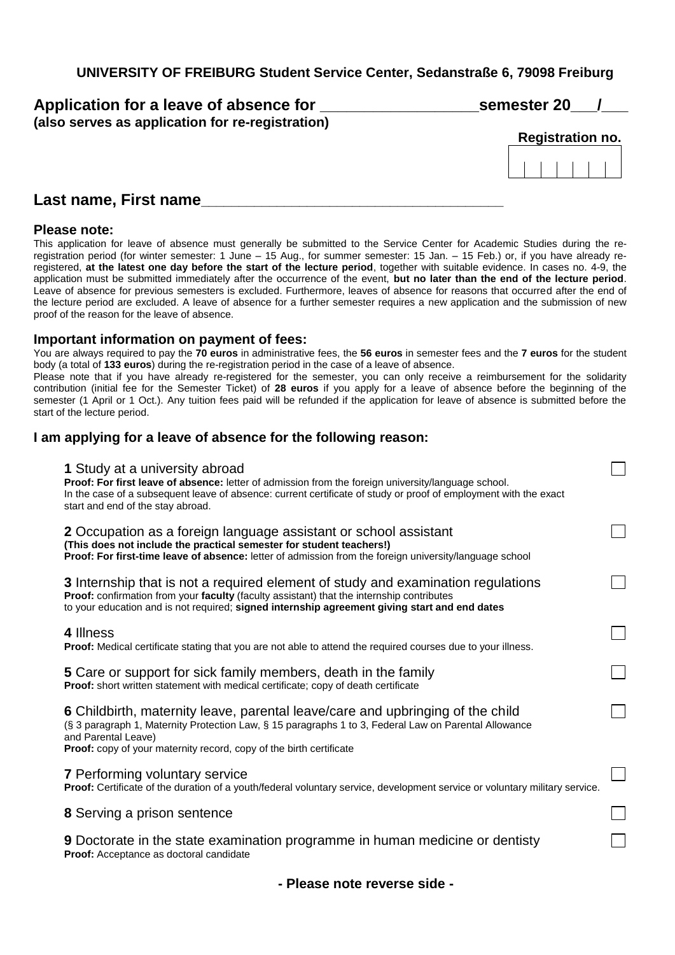**UNIVERSITY OF FREIBURG Student Service Center, Sedanstraße 6, 79098 Freiburg** 

| Application for a leave of absence for                                                                          | semester 20             |
|-----------------------------------------------------------------------------------------------------------------|-------------------------|
| (also serves as application for re-registration)                                                                |                         |
|                                                                                                                 | <b>Registration no.</b> |
|                                                                                                                 |                         |
| in the search of the search of the search of the search of the search of the search of the search of the search |                         |

### **Last name, First name\_\_\_\_\_\_\_\_\_\_\_\_\_\_\_\_\_\_\_\_\_\_\_\_\_\_\_\_\_\_\_\_\_\_\_\_\_\_\_\_**

### **Please note:**

This application for leave of absence must generally be submitted to the Service Center for Academic Studies during the reregistration period (for winter semester: 1 June – 15 Aug., for summer semester: 15 Jan. – 15 Feb.) or, if you have already reregistered, **at the latest one day before the start of the lecture period**, together with suitable evidence. In cases no. 4-9, the application must be submitted immediately after the occurrence of the event, **but no later than the end of the lecture period**. Leave of absence for previous semesters is excluded. Furthermore, leaves of absence for reasons that occurred after the end of the lecture period are excluded. A leave of absence for a further semester requires a new application and the submission of new proof of the reason for the leave of absence.

### **Important information on payment of fees:**

You are always required to pay the **70 euros** in administrative fees, the **56 euros** in semester fees and the **7 euros** for the student body (a total of **133 euros**) during the re-registration period in the case of a leave of absence.

Please note that if you have already re-registered for the semester, you can only receive a reimbursement for the solidarity contribution (initial fee for the Semester Ticket) of **28 euros** if you apply for a leave of absence before the beginning of the semester (1 April or 1 Oct.). Any tuition fees paid will be refunded if the application for leave of absence is submitted before the start of the lecture period.

### **I am applying for a leave of absence for the following reason:**

| 1 Study at a university abroad<br>Proof: For first leave of absence: letter of admission from the foreign university/language school.<br>In the case of a subsequent leave of absence: current certificate of study or proof of employment with the exact<br>start and end of the stay abroad. |  |
|------------------------------------------------------------------------------------------------------------------------------------------------------------------------------------------------------------------------------------------------------------------------------------------------|--|
| 2 Occupation as a foreign language assistant or school assistant<br>(This does not include the practical semester for student teachers!)<br>Proof: For first-time leave of absence: letter of admission from the foreign university/language school                                            |  |
| <b>3</b> Internship that is not a required element of study and examination regulations<br>Proof: confirmation from your faculty (faculty assistant) that the internship contributes<br>to your education and is not required; signed internship agreement giving start and end dates          |  |
| 4 Illness<br>Proof: Medical certificate stating that you are not able to attend the required courses due to your illness.                                                                                                                                                                      |  |
| 5 Care or support for sick family members, death in the family<br>Proof: short written statement with medical certificate; copy of death certificate                                                                                                                                           |  |
| 6 Childbirth, maternity leave, parental leave/care and upbringing of the child<br>(§ 3 paragraph 1, Maternity Protection Law, § 15 paragraphs 1 to 3, Federal Law on Parental Allowance<br>and Parental Leave)<br>Proof: copy of your maternity record, copy of the birth certificate          |  |
| <b>7 Performing voluntary service</b><br>Proof: Certificate of the duration of a youth/federal voluntary service, development service or voluntary military service.                                                                                                                           |  |
| <b>8</b> Serving a prison sentence                                                                                                                                                                                                                                                             |  |
| 9 Doctorate in the state examination programme in human medicine or dentisty<br>Proof: Acceptance as doctoral candidate                                                                                                                                                                        |  |
|                                                                                                                                                                                                                                                                                                |  |

**- Please note reverse side -**